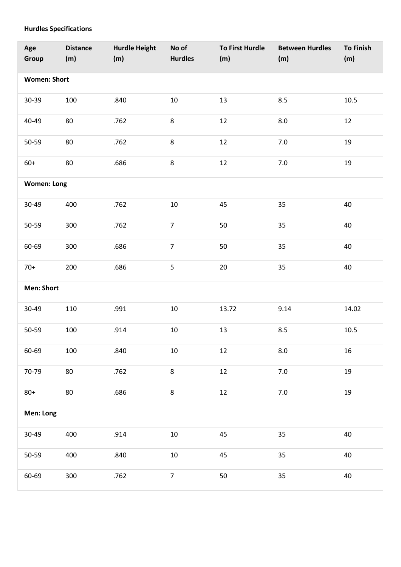## **Hurdles Specifications**

| Age<br>Group        | <b>Distance</b><br>(m) | <b>Hurdle Height</b><br>(m) | No of<br><b>Hurdles</b> | <b>To First Hurdle</b><br>(m) | <b>Between Hurdles</b><br>(m) | <b>To Finish</b><br>(m) |
|---------------------|------------------------|-----------------------------|-------------------------|-------------------------------|-------------------------------|-------------------------|
| <b>Women: Short</b> |                        |                             |                         |                               |                               |                         |
| 30-39               | 100                    | .840                        | 10                      | 13                            | 8.5                           | 10.5                    |
| 40-49               | 80                     | .762                        | 8                       | 12                            | $8.0\,$                       | $12\,$                  |
| 50-59               | 80                     | .762                        | 8                       | 12                            | $7.0\,$                       | 19                      |
| $60+$               | 80                     | .686                        | 8                       | 12                            | $7.0\,$                       | 19                      |
| <b>Women: Long</b>  |                        |                             |                         |                               |                               |                         |
| 30-49               | 400                    | .762                        | 10                      | 45                            | 35                            | 40                      |
| 50-59               | 300                    | .762                        | $\overline{7}$          | 50                            | 35                            | 40                      |
| 60-69               | 300                    | .686                        | $\overline{7}$          | 50                            | 35                            | 40                      |
| $70+$               | 200                    | .686                        | 5                       | 20                            | 35                            | 40                      |
| <b>Men: Short</b>   |                        |                             |                         |                               |                               |                         |
| 30-49               | 110                    | .991                        | $10\,$                  | 13.72                         | 9.14                          | 14.02                   |
| 50-59               | 100                    | .914                        | $10\,$                  | 13                            | 8.5                           | 10.5                    |
| 60-69               | 100                    | .840                        | $10\,$                  | 12                            | $8.0\,$                       | 16                      |
| 70-79               | 80                     | .762                        | 8                       | $12\,$                        | $7.0\,$                       | 19                      |
| $80+$               | 80                     | .686                        | $\bf 8$                 | $12\,$                        | $7.0\,$                       | 19                      |
| Men: Long           |                        |                             |                         |                               |                               |                         |
| 30-49               | 400                    | .914                        | $10\,$                  | 45                            | 35                            | 40                      |
| 50-59               | 400                    | .840                        | $10\,$                  | 45                            | 35                            | 40                      |
| 60-69               | 300                    | .762                        | $\overline{7}$          | 50                            | 35                            | $40\,$                  |